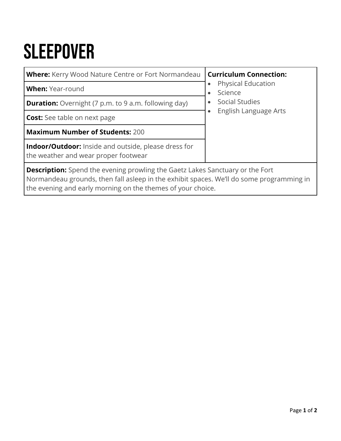## **SLEEPOVER**

| <b>Where:</b> Kerry Wood Nature Centre or Fort Normandeau                                                                                                                                                                                       | <b>Curriculum Connection:</b>           |  |  |  |  |
|-------------------------------------------------------------------------------------------------------------------------------------------------------------------------------------------------------------------------------------------------|-----------------------------------------|--|--|--|--|
| <b>When:</b> Year-round                                                                                                                                                                                                                         | <b>Physical Education</b><br>Science    |  |  |  |  |
| <b>Duration:</b> Overnight (7 p.m. to 9 a.m. following day)                                                                                                                                                                                     | Social Studies<br>English Language Arts |  |  |  |  |
| <b>Cost:</b> See table on next page                                                                                                                                                                                                             |                                         |  |  |  |  |
| <b>Maximum Number of Students: 200</b>                                                                                                                                                                                                          |                                         |  |  |  |  |
| <b>Indoor/Outdoor:</b> Inside and outside, please dress for<br>the weather and wear proper footwear                                                                                                                                             |                                         |  |  |  |  |
| <b>Description:</b> Spend the evening prowling the Gaetz Lakes Sanctuary or the Fort<br>Normandeau grounds, then fall asleep in the exhibit spaces. We'll do some programming in<br>the evening and early morning on the themes of your choice. |                                         |  |  |  |  |